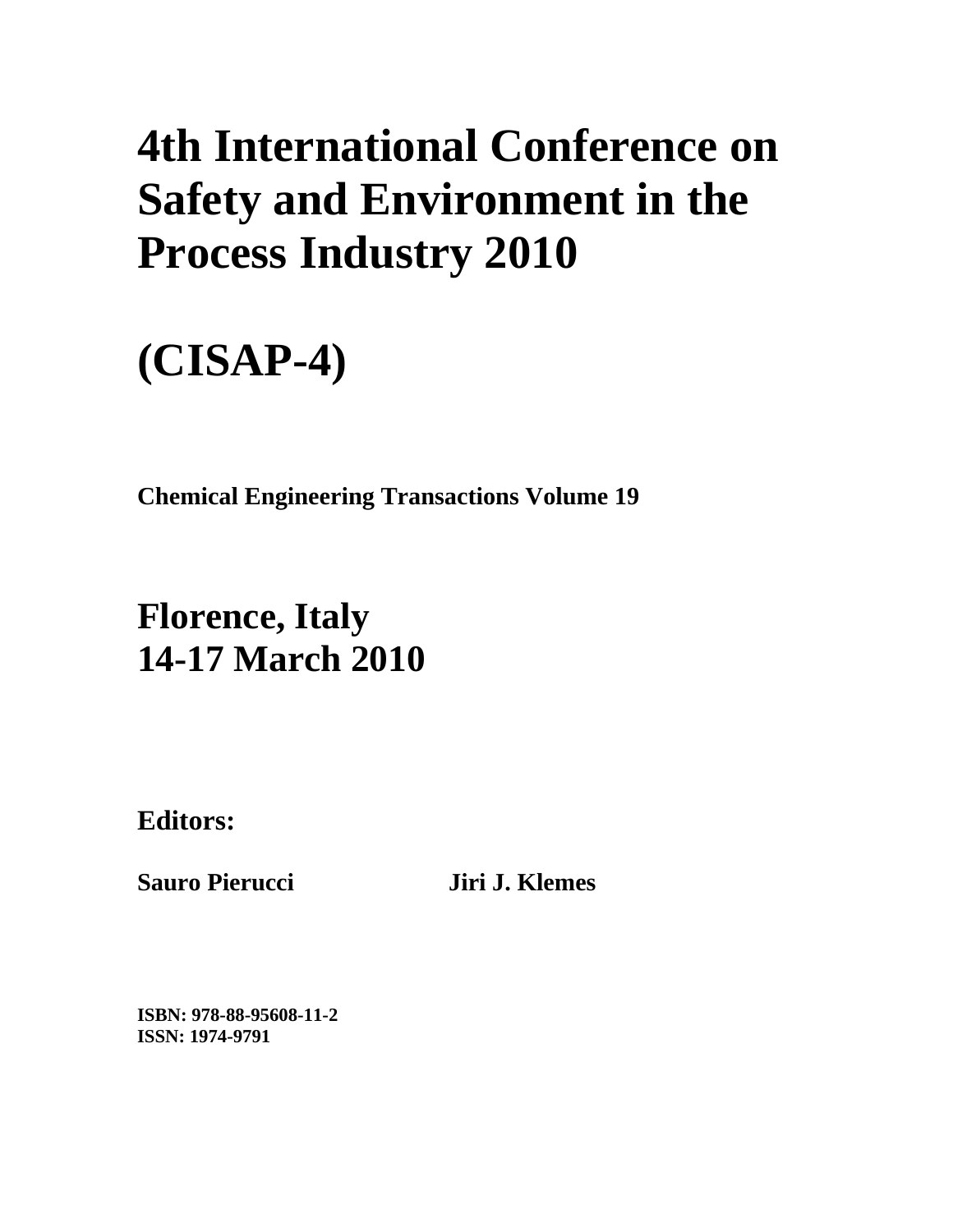# **4th International Conference on Safety and Environment in the Process Industry 2010**

# **(CISAP-4)**

**Chemical Engineering Transactions Volume 19** 

## **Florence, Italy 14-17 March 2010**

**Editors:** 

**Sauro Pierucci Jiri J. Klemes** 

**ISBN: 978-88-95608-11-2 ISSN: 1974-9791**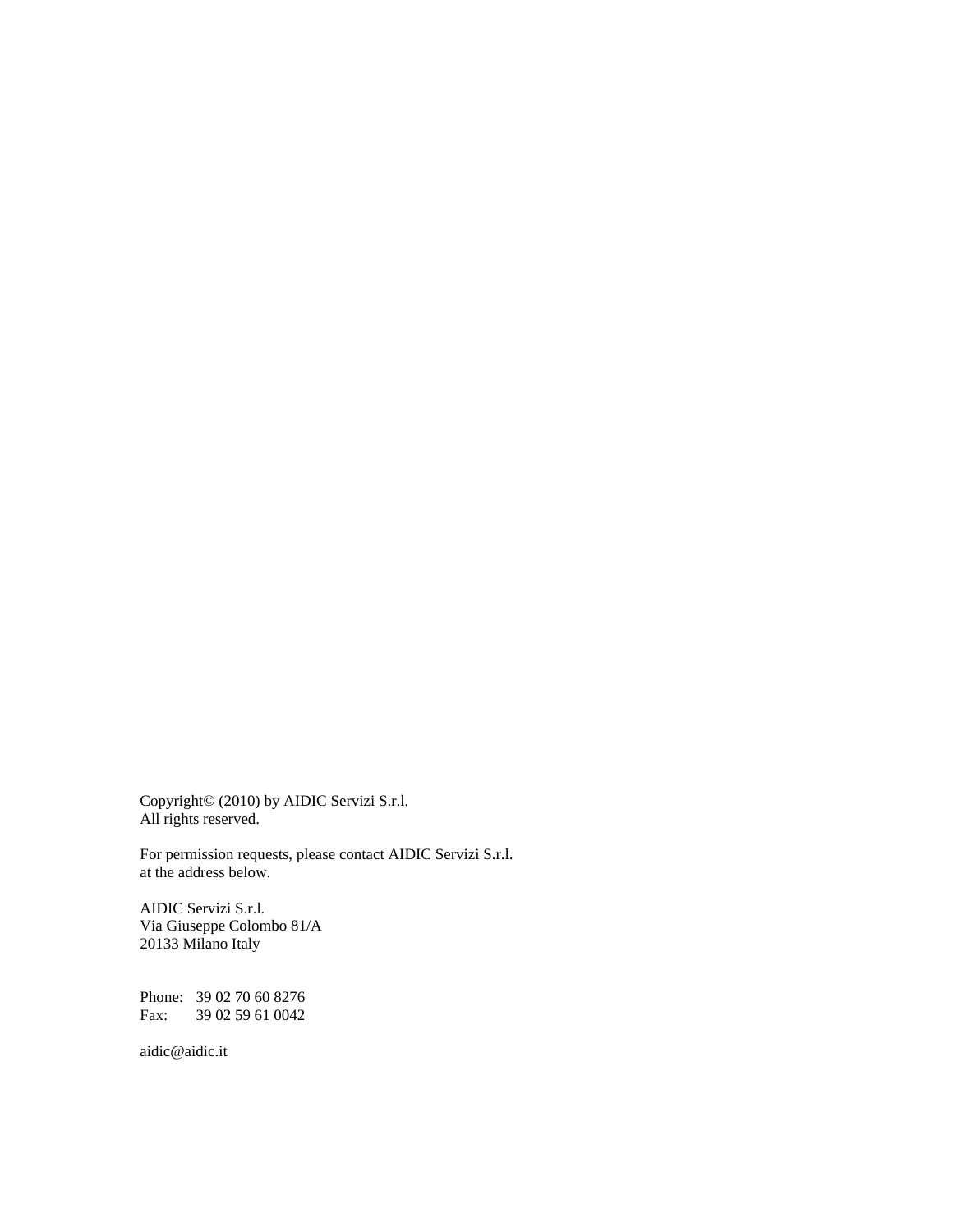Copyright© (2010) by AIDIC Servizi S.r.l. All rights reserved.

For permission requests, please contact AIDIC Servizi S.r.l. at the address below.

AIDIC Servizi S.r.l. Via Giuseppe Colombo 81/A 20133 Milano Italy

Phone: 39 02 70 60 8276 Fax: 39 02 59 61 0042

aidic@aidic.it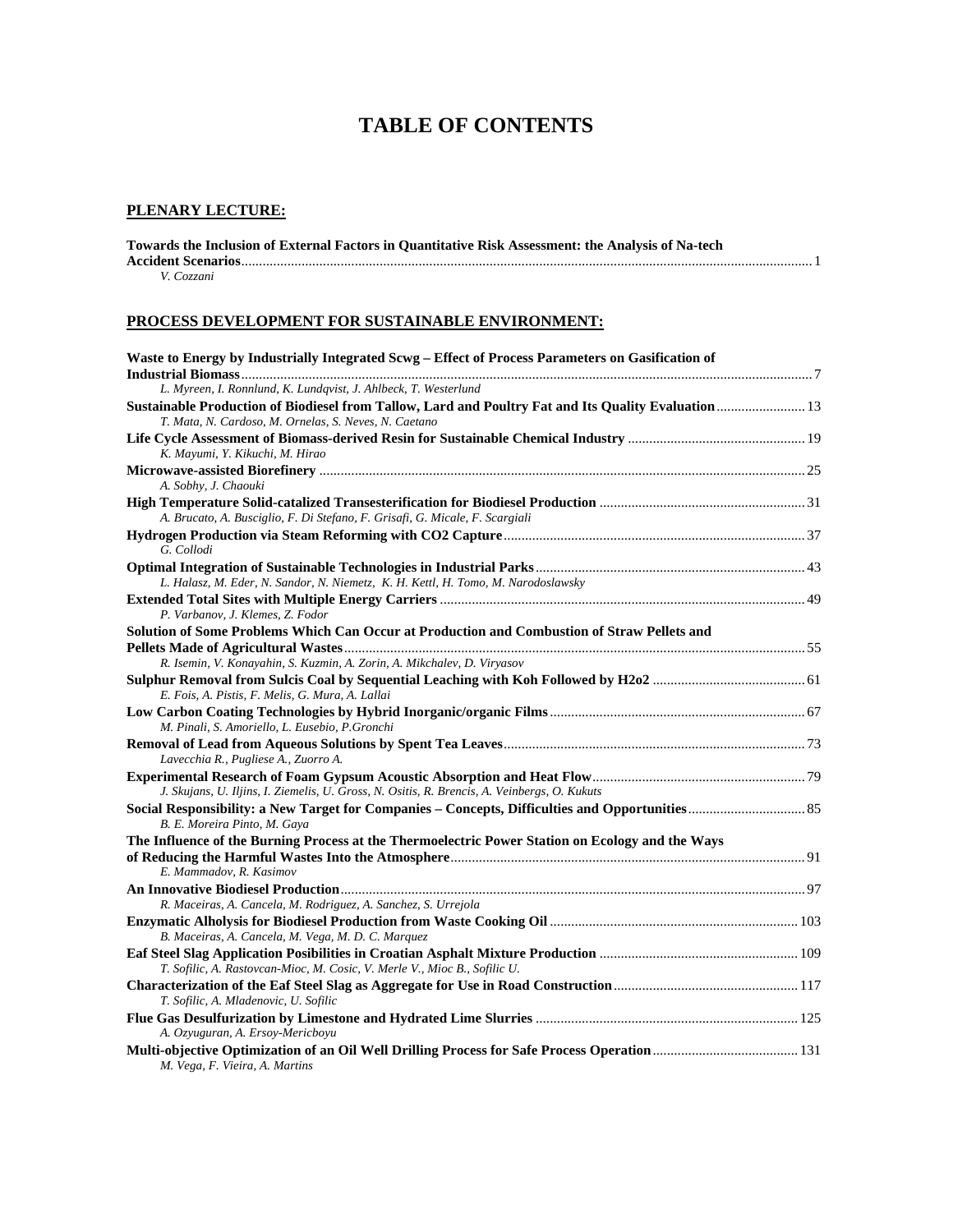### **TABLE OF CONTENTS**

#### **PLENARY LECTURE:**

| Towards the Inclusion of External Factors in Quantitative Risk Assessment: the Analysis of Na-tech |
|----------------------------------------------------------------------------------------------------|
|                                                                                                    |
| V. Cozzani                                                                                         |

### **PROCESS DEVELOPMENT FOR SUSTAINABLE ENVIRONMENT:**

| Waste to Energy by Industrially Integrated Scwg - Effect of Process Parameters on Gasification of                                                             |  |
|---------------------------------------------------------------------------------------------------------------------------------------------------------------|--|
| L. Myreen, I. Ronnlund, K. Lundqvist, J. Ahlbeck, T. Westerlund                                                                                               |  |
| Sustainable Production of Biodiesel from Tallow, Lard and Poultry Fat and Its Quality Evaluation  13<br>T. Mata, N. Cardoso, M. Ornelas, S. Neves, N. Caetano |  |
| K. Mayumi, Y. Kikuchi, M. Hirao                                                                                                                               |  |
| A. Sobhy, J. Chaouki                                                                                                                                          |  |
| A. Brucato, A. Busciglio, F. Di Stefano, F. Grisafi, G. Micale, F. Scargiali                                                                                  |  |
| G. Collodi                                                                                                                                                    |  |
|                                                                                                                                                               |  |
| L. Halasz, M. Eder, N. Sandor, N. Niemetz, K. H. Kettl, H. Tomo, M. Narodoslawsky                                                                             |  |
| P. Varbanov, J. Klemes, Z. Fodor                                                                                                                              |  |
| Solution of Some Problems Which Can Occur at Production and Combustion of Straw Pellets and                                                                   |  |
| R. Isemin, V. Konayahin, S. Kuzmin, A. Zorin, A. Mikchalev, D. Viryasov                                                                                       |  |
| E. Fois, A. Pistis, F. Melis, G. Mura, A. Lallai                                                                                                              |  |
| M. Pinali, S. Amoriello, L. Eusebio, P. Gronchi                                                                                                               |  |
| Lavecchia R., Pugliese A., Zuorro A.                                                                                                                          |  |
| J. Skujans, U. Iljins, I. Ziemelis, U. Gross, N. Ositis, R. Brencis, A. Veinbergs, O. Kukuts                                                                  |  |
| B. E. Moreira Pinto, M. Gaya                                                                                                                                  |  |
| The Influence of the Burning Process at the Thermoelectric Power Station on Ecology and the Ways                                                              |  |
| E. Mammadov, R. Kasimov                                                                                                                                       |  |
| R. Maceiras, A. Cancela, M. Rodriguez, A. Sanchez, S. Urrejola                                                                                                |  |
| B. Maceiras, A. Cancela, M. Vega, M. D. C. Marquez                                                                                                            |  |
| T. Sofilic, A. Rastovcan-Mioc, M. Cosic, V. Merle V., Mioc B., Sofilic U.                                                                                     |  |
| T. Sofilic, A. Mladenovic, U. Sofilic                                                                                                                         |  |
| A. Ozyuguran, A. Ersoy-Mericboyu                                                                                                                              |  |
| M. Vega, F. Vieira, A. Martins                                                                                                                                |  |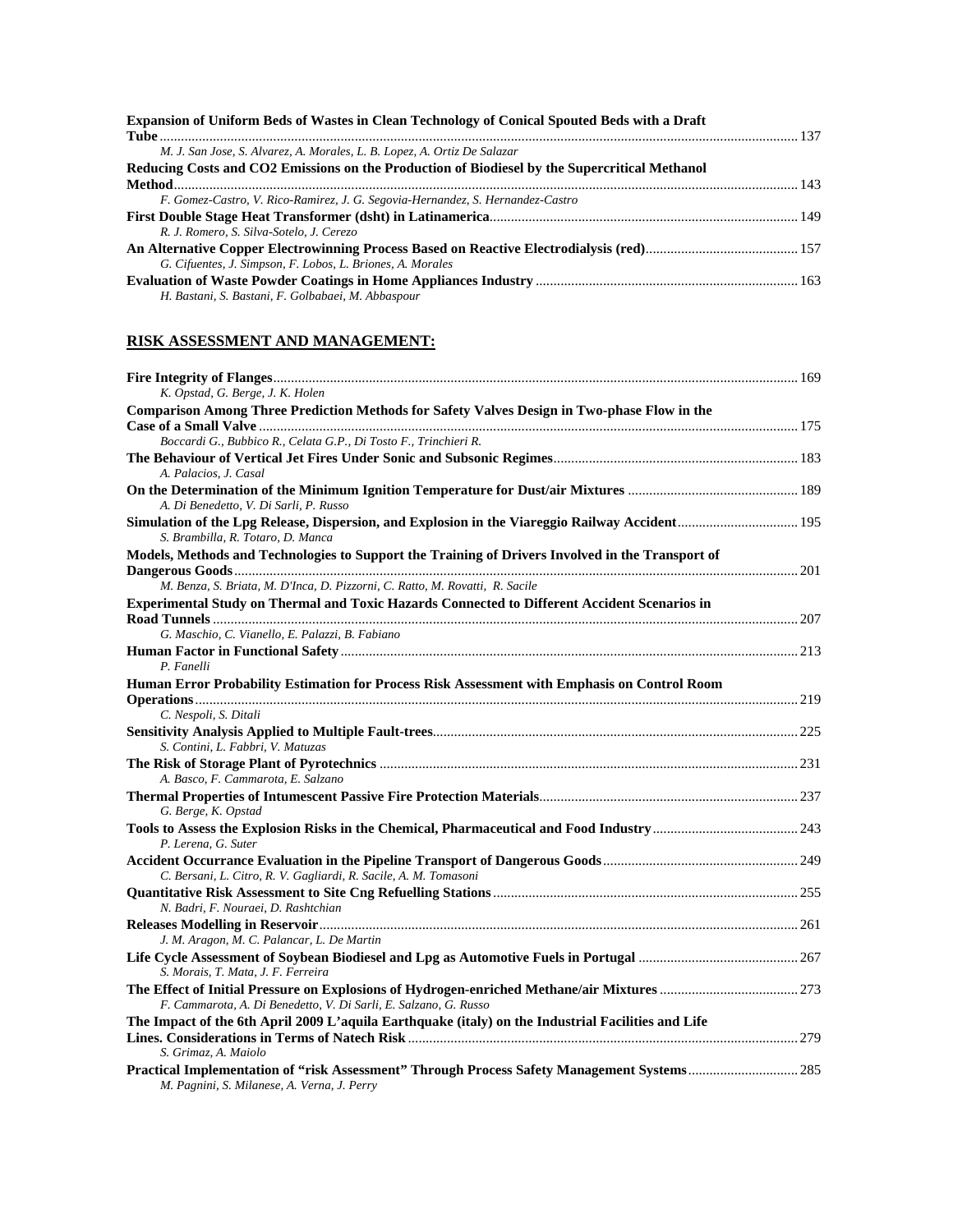#### **RISK ASSESSMENT AND MANAGEMENT:**

| K. Opstad, G. Berge, J. K. Holen                                                                                                    |  |
|-------------------------------------------------------------------------------------------------------------------------------------|--|
| Comparison Among Three Prediction Methods for Safety Valves Design in Two-phase Flow in the                                         |  |
|                                                                                                                                     |  |
| Boccardi G., Bubbico R., Celata G.P., Di Tosto F., Trinchieri R.                                                                    |  |
|                                                                                                                                     |  |
| A. Palacios, J. Casal                                                                                                               |  |
|                                                                                                                                     |  |
| A. Di Benedetto, V. Di Sarli, P. Russo                                                                                              |  |
| Simulation of the Lpg Release, Dispersion, and Explosion in the Viareggio Railway Accident 195<br>S. Brambilla, R. Totaro, D. Manca |  |
| Models, Methods and Technologies to Support the Training of Drivers Involved in the Transport of                                    |  |
|                                                                                                                                     |  |
| M. Benza, S. Briata, M. D'Inca, D. Pizzorni, C. Ratto, M. Rovatti, R. Sacile                                                        |  |
| Experimental Study on Thermal and Toxic Hazards Connected to Different Accident Scenarios in                                        |  |
|                                                                                                                                     |  |
| G. Maschio, C. Vianello, E. Palazzi, B. Fabiano                                                                                     |  |
|                                                                                                                                     |  |
| P. Fanelli                                                                                                                          |  |
| Human Error Probability Estimation for Process Risk Assessment with Emphasis on Control Room                                        |  |
|                                                                                                                                     |  |
| C. Nespoli, S. Ditali                                                                                                               |  |
|                                                                                                                                     |  |
| S. Contini, L. Fabbri, V. Matuzas                                                                                                   |  |
|                                                                                                                                     |  |
| A. Basco, F. Cammarota, E. Salzano                                                                                                  |  |
|                                                                                                                                     |  |
| G. Berge, K. Opstad                                                                                                                 |  |
|                                                                                                                                     |  |
| P. Lerena, G. Suter                                                                                                                 |  |
|                                                                                                                                     |  |
| C. Bersani, L. Citro, R. V. Gagliardi, R. Sacile, A. M. Tomasoni                                                                    |  |
|                                                                                                                                     |  |
| N. Badri, F. Nouraei, D. Rashtchian                                                                                                 |  |
|                                                                                                                                     |  |
| J. M. Aragon, M. C. Palancar, L. De Martin                                                                                          |  |
|                                                                                                                                     |  |
| S. Morais, T. Mata, J. F. Ferreira                                                                                                  |  |
|                                                                                                                                     |  |
| F. Cammarota, A. Di Benedetto, V. Di Sarli, E. Salzano, G. Russo                                                                    |  |
| The Impact of the 6th April 2009 L'aquila Earthquake (italy) on the Industrial Facilities and Life                                  |  |
|                                                                                                                                     |  |
| S. Grimaz, A. Maiolo                                                                                                                |  |
| Practical Implementation of "risk Assessment" Through Process Safety Management Systems285                                          |  |
| M. Pagnini, S. Milanese, A. Verna, J. Perry                                                                                         |  |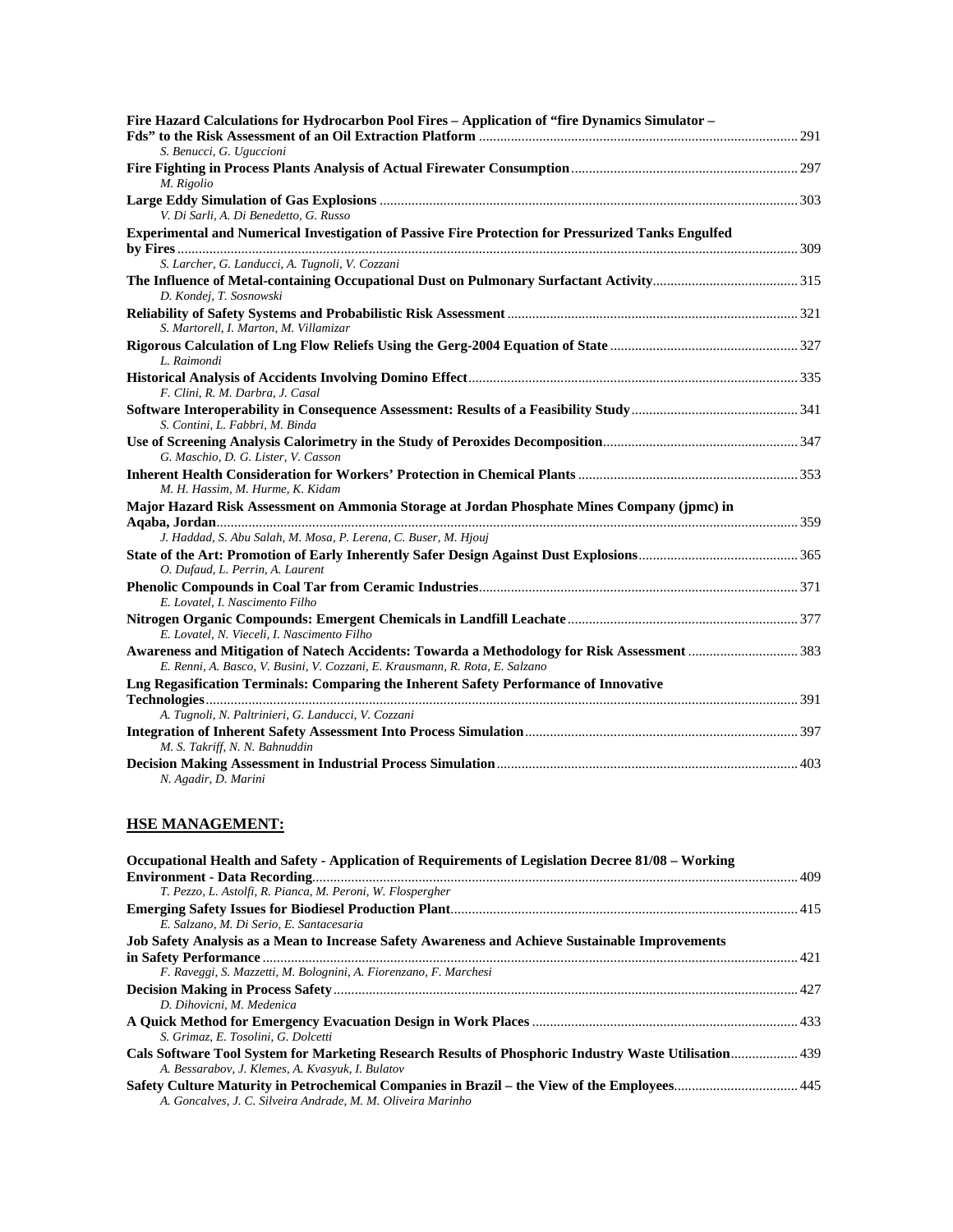| Fire Hazard Calculations for Hydrocarbon Pool Fires - Application of "fire Dynamics Simulator -                                                                             |  |
|-----------------------------------------------------------------------------------------------------------------------------------------------------------------------------|--|
| S. Benucci, G. Uguccioni                                                                                                                                                    |  |
|                                                                                                                                                                             |  |
| M. Rigolio                                                                                                                                                                  |  |
| V. Di Sarli, A. Di Benedetto, G. Russo                                                                                                                                      |  |
| Experimental and Numerical Investigation of Passive Fire Protection for Pressurized Tanks Engulfed                                                                          |  |
| S. Larcher, G. Landucci, A. Tugnoli, V. Cozzani                                                                                                                             |  |
| D. Kondej, T. Sosnowski                                                                                                                                                     |  |
| S. Martorell, I. Marton, M. Villamizar                                                                                                                                      |  |
| L. Raimondi                                                                                                                                                                 |  |
|                                                                                                                                                                             |  |
| F. Clini, R. M. Darbra, J. Casal                                                                                                                                            |  |
| S. Contini, L. Fabbri, M. Binda                                                                                                                                             |  |
| G. Maschio, D. G. Lister, V. Casson                                                                                                                                         |  |
| M. H. Hassim, M. Hurme, K. Kidam                                                                                                                                            |  |
| Major Hazard Risk Assessment on Ammonia Storage at Jordan Phosphate Mines Company (jpmc) in                                                                                 |  |
|                                                                                                                                                                             |  |
| J. Haddad, S. Abu Salah, M. Mosa, P. Lerena, C. Buser, M. Hjouj                                                                                                             |  |
| O. Dufaud, L. Perrin, A. Laurent                                                                                                                                            |  |
|                                                                                                                                                                             |  |
| E. Lovatel, I. Nascimento Filho                                                                                                                                             |  |
| E. Lovatel, N. Vieceli, I. Nascimento Filho                                                                                                                                 |  |
| Awareness and Mitigation of Natech Accidents: Towarda a Methodology for Risk Assessment 383<br>E. Renni, A. Basco, V. Busini, V. Cozzani, E. Krausmann, R. Rota, E. Salzano |  |
| Lng Regasification Terminals: Comparing the Inherent Safety Performance of Innovative                                                                                       |  |
| A. Tugnoli, N. Paltrinieri, G. Landucci, V. Cozzani                                                                                                                         |  |
|                                                                                                                                                                             |  |
| M. S. Takriff, N. N. Bahnuddin                                                                                                                                              |  |
| N. Agadir, D. Marini                                                                                                                                                        |  |

#### **HSE MANAGEMENT:**

| Occupational Health and Safety - Application of Requirements of Legislation Decree 81/08 – Working    |  |
|-------------------------------------------------------------------------------------------------------|--|
|                                                                                                       |  |
| T. Pezzo, L. Astolfi, R. Pianca, M. Peroni, W. Flospergher                                            |  |
|                                                                                                       |  |
| E. Salzano, M. Di Serio, E. Santacesaria                                                              |  |
| Job Safety Analysis as a Mean to Increase Safety Awareness and Achieve Sustainable Improvements       |  |
|                                                                                                       |  |
| F. Raveggi, S. Mazzetti, M. Bolognini, A. Fiorenzano, F. Marchesi                                     |  |
|                                                                                                       |  |
| D. Dihovicni, M. Medenica                                                                             |  |
|                                                                                                       |  |
| S. Grimaz, E. Tosolini, G. Dolcetti                                                                   |  |
| Cals Software Tool System for Marketing Research Results of Phosphoric Industry Waste Utilisation 439 |  |
| A. Bessarabov, J. Klemes, A. Kvasyuk, I. Bulatov                                                      |  |
|                                                                                                       |  |
| A. Goncalves, J. C. Silveira Andrade, M. M. Oliveira Marinho                                          |  |